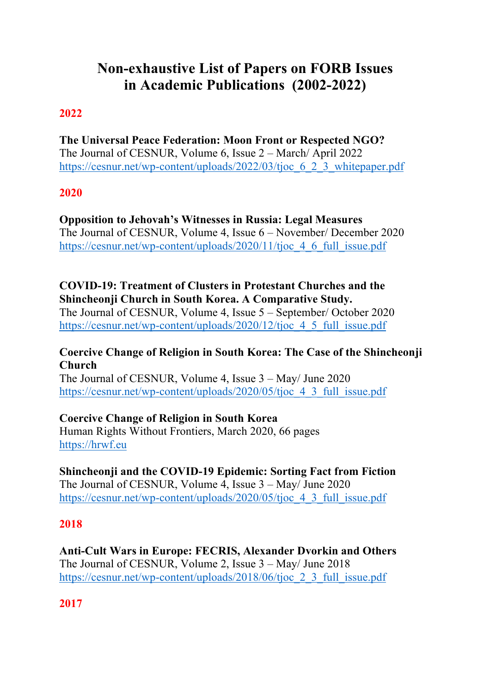# **Non-exhaustive List of Papers on FORB Issues in Academic Publications (2002-2022)**

# **2022**

**The Universal Peace Federation: Moon Front or Respected NGO?** The Journal of CESNUR, Volume 6, Issue 2 – March/ April 2022 https://cesnur.net/wp-content/uploads/2022/03/tjoc 6 2 3 whitepaper.pdf

#### **2020**

**Opposition to Jehovah's Witnesses in Russia: Legal Measures** The Journal of CESNUR, Volume 4, Issue 6 – November/ December 2020 https://cesnur.net/wp-content/uploads/2020/11/tjoc 4 6 full issue.pdf

**COVID-19: Treatment of Clusters in Protestant Churches and the Shincheonji Church in South Korea. A Comparative Study.** The Journal of CESNUR, Volume 4, Issue 5 – September/ October 2020 https://cesnur.net/wp-content/uploads/2020/12/tjoc 4 5 full issue.pdf

#### **Coercive Change of Religion in South Korea: The Case of the Shincheonji Church**

The Journal of CESNUR, Volume 4, Issue 3 – May/ June 2020 https://cesnur.net/wp-content/uploads/2020/05/tjoc 4 3 full issue.pdf

**Coercive Change of Religion in South Korea**

Human Rights Without Frontiers, March 2020, 66 pages https://hrwf.eu

**Shincheonji and the COVID-19 Epidemic: Sorting Fact from Fiction** The Journal of CESNUR, Volume 4, Issue 3 – May/ June 2020 https://cesnur.net/wp-content/uploads/2020/05/tjoc 4 3 full issue.pdf

#### **2018**

**Anti-Cult Wars in Europe: FECRIS, Alexander Dvorkin and Others** The Journal of CESNUR, Volume 2, Issue 3 – May/ June 2018 https://cesnur.net/wp-content/uploads/2018/06/tjoc\_2\_3\_full\_issue.pdf

**2017**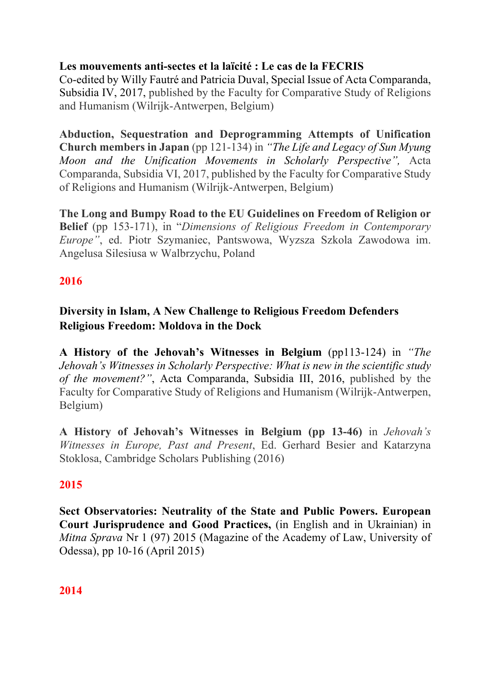## **Les mouvements anti-sectes et la laïcité : Le cas de la FECRIS**

Co-edited by Willy Fautré and Patricia Duval, Special Issue of Acta Comparanda, Subsidia IV, 2017, published by the Faculty for Comparative Study of Religions and Humanism (Wilrijk-Antwerpen, Belgium)

**Abduction, Sequestration and Deprogramming Attempts of Unification Church members in Japan** (pp 121-134) in *"The Life and Legacy of Sun Myung Moon and the Unification Movements in Scholarly Perspective",* Acta Comparanda, Subsidia VI, 2017, published by the Faculty for Comparative Study of Religions and Humanism (Wilrijk-Antwerpen, Belgium)

**The Long and Bumpy Road to the EU Guidelines on Freedom of Religion or Belief** (pp 153-171), in "*Dimensions of Religious Freedom in Contemporary Europe"*, ed. Piotr Szymaniec, Pantswowa, Wyzsza Szkola Zawodowa im. Angelusa Silesiusa w Walbrzychu, Poland

## **2016**

# **Diversity in Islam, A New Challenge to Religious Freedom Defenders Religious Freedom: Moldova in the Dock**

**A History of the Jehovah's Witnesses in Belgium** (pp113-124) in *"The Jehovah's Witnesses in Scholarly Perspective: What is new in the scientific study of the movement?"*, Acta Comparanda, Subsidia III, 2016, published by the Faculty for Comparative Study of Religions and Humanism (Wilrijk-Antwerpen, Belgium)

**A History of Jehovah's Witnesses in Belgium (pp 13-46)** in *Jehovah's Witnesses in Europe, Past and Present*, Ed. Gerhard Besier and Katarzyna Stoklosa, Cambridge Scholars Publishing (2016)

## **2015**

**Sect Observatories: Neutrality of the State and Public Powers. European Court Jurisprudence and Good Practices,** (in English and in Ukrainian) in *Mitna Sprava* Nr 1 (97) 2015 (Magazine of the Academy of Law, University of Odessa), pp 10-16 (April 2015)

## **2014**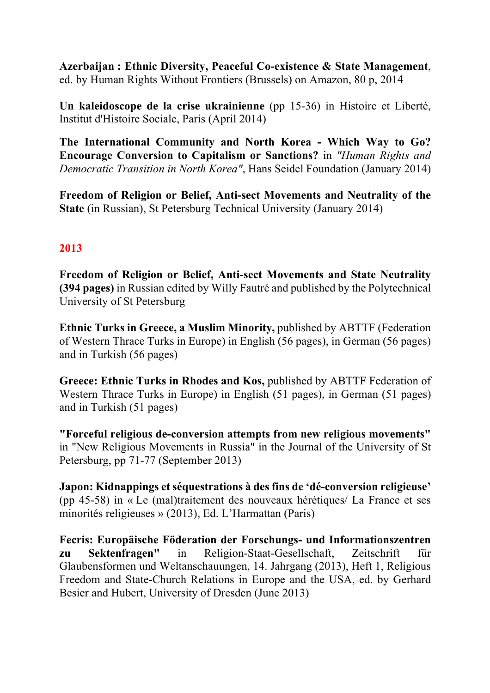**Azerbaijan : Ethnic Diversity, Peaceful Co-existence & State Management**, ed. by Human Rights Without Frontiers (Brussels) on Amazon, 80 p, 2014

**Un kaleidoscope de la crise ukrainienne** (pp 15-36) in Histoire et Liberté, Institut d'Histoire Sociale, Paris (April 2014)

**The International Community and North Korea - Which Way to Go? Encourage Conversion to Capitalism or Sanctions?** in *"Human Rights and Democratic Transition in North Korea"*, Hans Seidel Foundation (January 2014)

**Freedom of Religion or Belief, Anti-sect Movements and Neutrality of the State** (in Russian), St Petersburg Technical University (January 2014)

## **2013**

**Freedom of Religion or Belief, Anti-sect Movements and State Neutrality (394 pages)** in Russian edited by Willy Fautré and published by the Polytechnical University of St Petersburg

**Ethnic Turks in Greece, a Muslim Minority,** published by ABTTF (Federation of Western Thrace Turks in Europe) in English (56 pages), in German (56 pages) and in Turkish (56 pages)

**Greece: Ethnic Turks in Rhodes and Kos,** published by ABTTF Federation of Western Thrace Turks in Europe) in English (51 pages), in German (51 pages) and in Turkish (51 pages)

**"Forceful religious de-conversion attempts from new religious movements"**  in "New Religious Movements in Russia" in the Journal of the University of St Petersburg, pp 71-77 (September 2013)

**Japon: Kidnappings et séquestrations à des fins de 'dé-conversion religieuse'** (pp 45-58) in « Le (mal)traitement des nouveaux hérétiques/ La France et ses minorités religieuses » (2013), Ed. L'Harmattan (Paris)

**Fecris: Europäische Föderation der Forschungs- und Informationszentren zu Sektenfragen"** in Religion-Staat-Gesellschaft, Zeitschrift für Glaubensformen und Weltanschauungen, 14. Jahrgang (2013), Heft 1, Religious Freedom and State-Church Relations in Europe and the USA, ed. by Gerhard Besier and Hubert, University of Dresden (June 2013)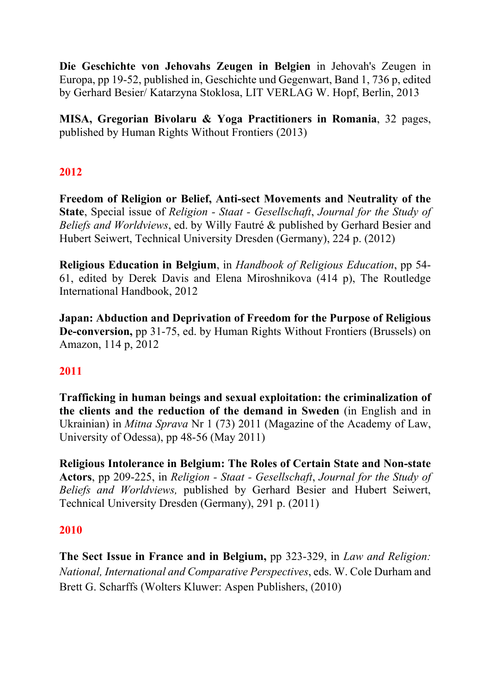**Die Geschichte von Jehovahs Zeugen in Belgien** in Jehovah's Zeugen in Europa, pp 19-52, published in, Geschichte und Gegenwart, Band 1, 736 p, edited by Gerhard Besier/ Katarzyna Stoklosa, LIT VERLAG W. Hopf, Berlin, 2013

**MISA, Gregorian Bivolaru & Yoga Practitioners in Romania**, 32 pages, published by Human Rights Without Frontiers (2013)

## **2012**

**Freedom of Religion or Belief, Anti-sect Movements and Neutrality of the State**, Special issue of *Religion - Staat - Gesellschaft*, *Journal for the Study of Beliefs and Worldviews*, ed. by Willy Fautré & published by Gerhard Besier and Hubert Seiwert, Technical University Dresden (Germany), 224 p. (2012)

**Religious Education in Belgium**, in *Handbook of Religious Education*, pp 54- 61, edited by Derek Davis and Elena Miroshnikova (414 p), The Routledge International Handbook, 2012

**Japan: Abduction and Deprivation of Freedom for the Purpose of Religious De-conversion,** pp 31-75, ed. by Human Rights Without Frontiers (Brussels) on Amazon, 114 p, 2012

## **2011**

**Trafficking in human beings and sexual exploitation: the criminalization of the clients and the reduction of the demand in Sweden** (in English and in Ukrainian) in *Mitna Sprava* Nr 1 (73) 2011 (Magazine of the Academy of Law, University of Odessa), pp 48-56 (May 2011)

**Religious Intolerance in Belgium: The Roles of Certain State and Non-state Actors**, pp 209-225, in *Religion - Staat - Gesellschaft*, *Journal for the Study of Beliefs and Worldviews,* published by Gerhard Besier and Hubert Seiwert, Technical University Dresden (Germany), 291 p. (2011)

#### **2010**

**The Sect Issue in France and in Belgium,** pp 323-329, in *Law and Religion: National, International and Comparative Perspectives*, eds. W. Cole Durham and Brett G. Scharffs (Wolters Kluwer: Aspen Publishers, (2010)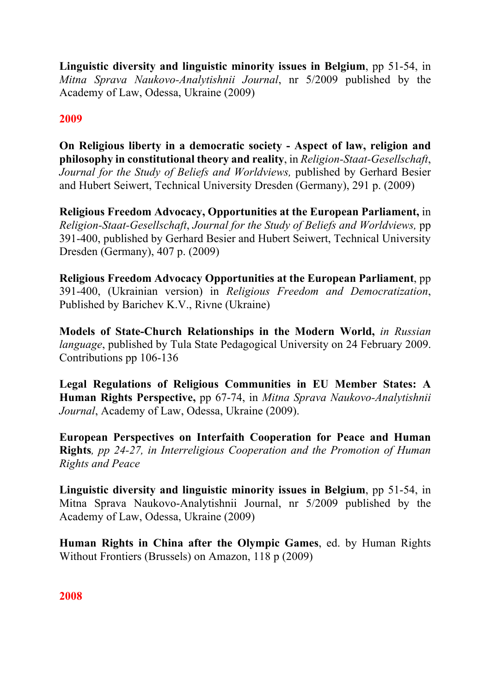**Linguistic diversity and linguistic minority issues in Belgium**, pp 51-54, in *Mitna Sprava Naukovo-Analytishnii Journal*, nr 5/2009 published by the Academy of Law, Odessa, Ukraine (2009)

## **2009**

**On Religious liberty in a democratic society - Aspect of law, religion and philosophy in constitutional theory and reality**, in *Religion-Staat-Gesellschaft*, *Journal for the Study of Beliefs and Worldviews,* published by Gerhard Besier and Hubert Seiwert, Technical University Dresden (Germany), 291 p. (2009)

**Religious Freedom Advocacy, Opportunities at the European Parliament,** in *Religion-Staat-Gesellschaft*, *Journal for the Study of Beliefs and Worldviews,* pp 391-400, published by Gerhard Besier and Hubert Seiwert, Technical University Dresden (Germany), 407 p. (2009)

**Religious Freedom Advocacy Opportunities at the European Parliament**, pp 391-400, (Ukrainian version) in *Religious Freedom and Democratization*, Published by Barichev K.V., Rivne (Ukraine)

**Models of State-Church Relationships in the Modern World,** *in Russian language*, published by Tula State Pedagogical University on 24 February 2009. Contributions pp 106-136

**Legal Regulations of Religious Communities in EU Member States: A Human Rights Perspective,** pp 67-74, in *Mitna Sprava Naukovo-Analytishnii Journal*, Academy of Law, Odessa, Ukraine (2009).

**European Perspectives on Interfaith Cooperation for Peace and Human Rights***, pp 24-27, in Interreligious Cooperation and the Promotion of Human Rights and Peace* 

**Linguistic diversity and linguistic minority issues in Belgium**, pp 51-54, in Mitna Sprava Naukovo-Analytishnii Journal, nr 5/2009 published by the Academy of Law, Odessa, Ukraine (2009)

**Human Rights in China after the Olympic Games**, ed. by Human Rights Without Frontiers (Brussels) on Amazon, 118 p (2009)

**2008**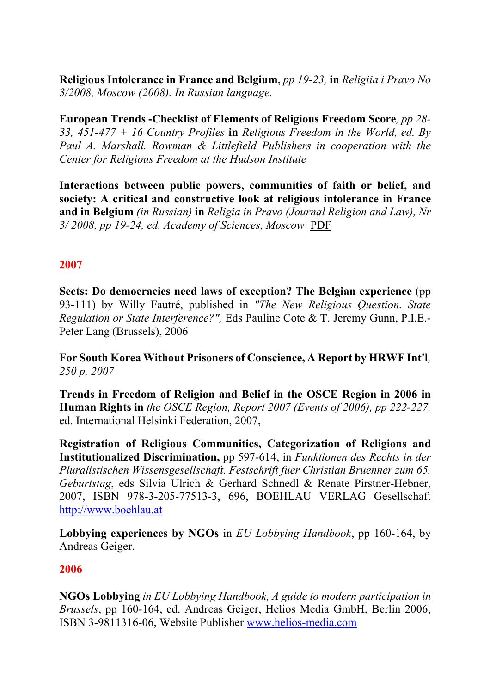**Religious Intolerance in France and Belgium**, *pp 19-23,* **in** *Religiia i Pravo No 3/2008, Moscow (2008). In Russian language.*

**European Trends -Checklist of Elements of Religious Freedom Score***, pp 28- 33, 451-477 + 16 Country Profiles* **in** *Religious Freedom in the World, ed. By Paul A. Marshall. Rowman & Littlefield Publishers in cooperation with the Center for Religious Freedom at the Hudson Institute*

**Interactions between public powers, communities of faith or belief, and society: A critical and constructive look at religious intolerance in France and in Belgium** *(in Russian)* **in** *Religia in Pravo (Journal Religion and Law), Nr 3/ 2008, pp 19-24, ed. Academy of Sciences, Moscow* PDF

#### **2007**

**Sects: Do democracies need laws of exception? The Belgian experience** (pp 93-111) by Willy Fautré, published in *"The New Religious Question. State Regulation or State Interference?",* Eds Pauline Cote & T. Jeremy Gunn, P.I.E.- Peter Lang (Brussels), 2006

**For South Korea Without Prisoners of Conscience, A Report by HRWF Int'l***, 250 p, 2007*

**Trends in Freedom of Religion and Belief in the OSCE Region in 2006 in Human Rights in** *the OSCE Region, Report 2007 (Events of 2006), pp 222-227,* ed. International Helsinki Federation, 2007,

**Registration of Religious Communities, Categorization of Religions and Institutionalized Discrimination,** pp 597-614, in *Funktionen des Rechts in der Pluralistischen Wissensgesellschaft. Festschrift fuer Christian Bruenner zum 65. Geburtstag*, eds Silvia Ulrich & Gerhard Schnedl & Renate Pirstner-Hebner, 2007, ISBN 978-3-205-77513-3, 696, BOEHLAU VERLAG Gesellschaft http://www.boehlau.at

**Lobbying experiences by NGOs** in *EU Lobbying Handbook*, pp 160-164, by Andreas Geiger.

#### **2006**

**NGOs Lobbying** *in EU Lobbying Handbook, A guide to modern participation in Brussels*, pp 160-164, ed. Andreas Geiger, Helios Media GmbH, Berlin 2006, ISBN 3-9811316-06, Website Publisher www.helios-media.com